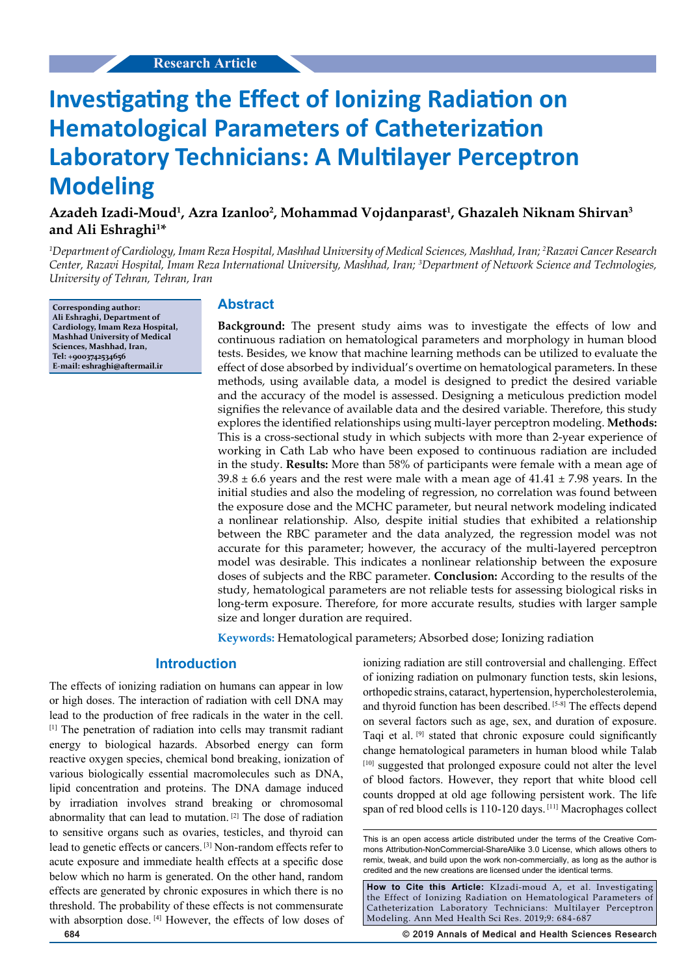# **Investigating the Effect of Ionizing Radiation on Hematological Parameters of Catheterization Laboratory Technicians: A Multilayer Perceptron Modeling**

# **Azadeh Izadi-Moud1 , Azra Izanloo2 , Mohammad Vojdanparast1 , Ghazaleh Niknam Shirvan3 and Ali Eshraghi1 \***

*1 Department of Cardiology, Imam Reza Hospital, Mashhad University of Medical Sciences, Mashhad, Iran; 2 Razavi Cancer Research Center, Razavi Hospital, Imam Reza International University, Mashhad, Iran; 3 Department of Network Science and Technologies, University of Tehran, Tehran, Iran*

**Corresponding author: Ali Eshraghi, Department of Cardiology, Imam Reza Hospital, Mashhad University of Medical Sciences, Mashhad, Iran, Tel: +9003742534656 E-mail: eshraghi@aftermail.ir**

#### **Abstract**

**Background:** The present study aims was to investigate the effects of low and continuous radiation on hematological parameters and morphology in human blood tests. Besides, we know that machine learning methods can be utilized to evaluate the effect of dose absorbed by individual's overtime on hematological parameters. In these methods, using available data, a model is designed to predict the desired variable and the accuracy of the model is assessed. Designing a meticulous prediction model signifies the relevance of available data and the desired variable. Therefore, this study explores the identified relationships using multi-layer perceptron modeling. **Methods:** This is a cross-sectional study in which subjects with more than 2-year experience of working in Cath Lab who have been exposed to continuous radiation are included in the study. **Results:** More than 58% of participants were female with a mean age of  $39.8 \pm 6.6$  years and the rest were male with a mean age of  $41.41 \pm 7.98$  years. In the initial studies and also the modeling of regression, no correlation was found between the exposure dose and the MCHC parameter, but neural network modeling indicated a nonlinear relationship. Also, despite initial studies that exhibited a relationship between the RBC parameter and the data analyzed, the regression model was not accurate for this parameter; however, the accuracy of the multi-layered perceptron model was desirable. This indicates a nonlinear relationship between the exposure doses of subjects and the RBC parameter. **Conclusion:** According to the results of the study, hematological parameters are not reliable tests for assessing biological risks in long-term exposure. Therefore, for more accurate results, studies with larger sample size and longer duration are required.

**Keywords:** Hematological parameters; Absorbed dose; Ionizing radiation

## **Introduction**

The effects of ionizing radiation on humans can appear in low or high doses. The interaction of radiation with cell DNA may lead to the production of free radicals in the water in the cell. [1] The penetration of radiation into cells may transmit radiant energy to biological hazards. Absorbed energy can form reactive oxygen species, chemical bond breaking, ionization of various biologically essential macromolecules such as DNA, lipid concentration and proteins. The DNA damage induced by irradiation involves strand breaking or chromosomal abnormality that can lead to mutation. [2] The dose of radiation to sensitive organs such as ovaries, testicles, and thyroid can lead to genetic effects or cancers. [3] Non-random effects refer to acute exposure and immediate health effects at a specific dose below which no harm is generated. On the other hand, random effects are generated by chronic exposures in which there is no threshold. The probability of these effects is not commensurate with absorption dose. [4] However, the effects of low doses of

ionizing radiation are still controversial and challenging. Effect of ionizing radiation on pulmonary function tests, skin lesions, orthopedic strains, cataract, hypertension, hypercholesterolemia, and thyroid function has been described. [5-8] The effects depend on several factors such as age, sex, and duration of exposure. Taqi et al. [9] stated that chronic exposure could significantly change hematological parameters in human blood while Talab [10] suggested that prolonged exposure could not alter the level of blood factors. However, they report that white blood cell counts dropped at old age following persistent work. The life span of red blood cells is 110-120 days. [11] Macrophages collect

**How to Cite this Article:** KIzadi-moud A, et al. Investigating the Effect of Ionizing Radiation on Hematological Parameters of Catheterization Laboratory Technicians: Multilayer Perceptron Modeling. Ann Med Health Sci Res. 2019;9: 684-687

**684 © 2019 Annals of Medical and Health Sciences Research** 

This is an open access article distributed under the terms of the Creative Com‑ mons Attribution‑NonCommercial‑ShareAlike 3.0 License, which allows others to remix, tweak, and build upon the work non‑commercially, as long as the author is credited and the new creations are licensed under the identical terms.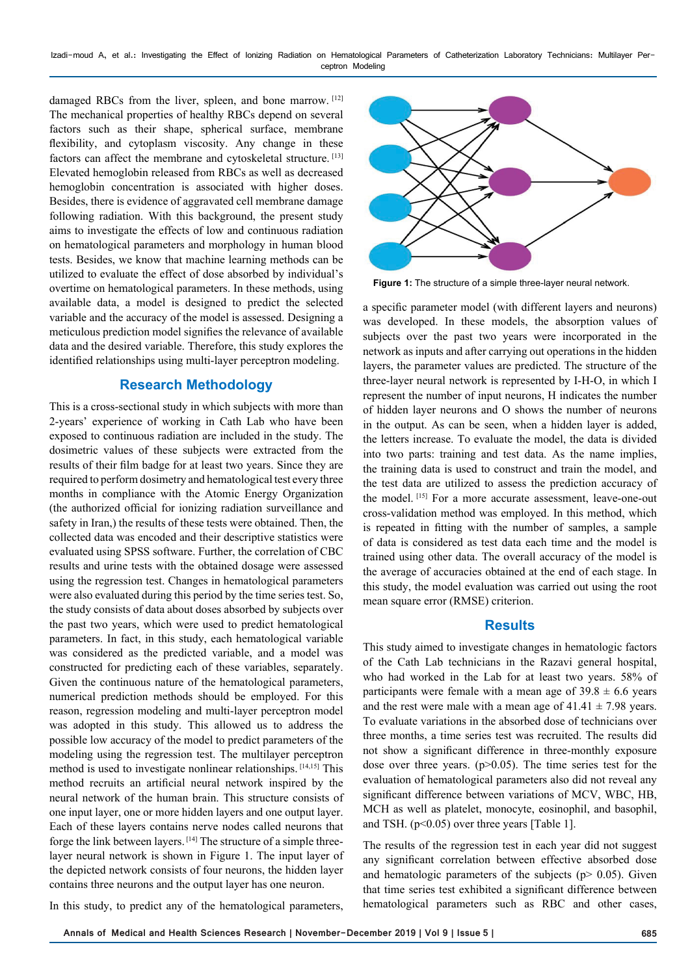Izadi-moud A, et al.: Investigating the Effect of Ionizing Radiation on Hematological Parameters of Catheterization Laboratory Technicians: Multilayer Perceptron Modeling

damaged RBCs from the liver, spleen, and bone marrow. [12] The mechanical properties of healthy RBCs depend on several factors such as their shape, spherical surface, membrane flexibility, and cytoplasm viscosity. Any change in these factors can affect the membrane and cytoskeletal structure. [13] Elevated hemoglobin released from RBCs as well as decreased hemoglobin concentration is associated with higher doses. Besides, there is evidence of aggravated cell membrane damage following radiation. With this background, the present study aims to investigate the effects of low and continuous radiation on hematological parameters and morphology in human blood tests. Besides, we know that machine learning methods can be utilized to evaluate the effect of dose absorbed by individual's overtime on hematological parameters. In these methods, using available data, a model is designed to predict the selected variable and the accuracy of the model is assessed. Designing a meticulous prediction model signifies the relevance of available data and the desired variable. Therefore, this study explores the identified relationships using multi-layer perceptron modeling.

## **Research Methodology**

This is a cross-sectional study in which subjects with more than 2-years' experience of working in Cath Lab who have been exposed to continuous radiation are included in the study. The dosimetric values of these subjects were extracted from the results of their film badge for at least two years. Since they are required to perform dosimetry and hematological test every three months in compliance with the Atomic Energy Organization (the authorized official for ionizing radiation surveillance and safety in Iran,) the results of these tests were obtained. Then, the collected data was encoded and their descriptive statistics were evaluated using SPSS software. Further, the correlation of CBC results and urine tests with the obtained dosage were assessed using the regression test. Changes in hematological parameters were also evaluated during this period by the time series test. So, the study consists of data about doses absorbed by subjects over the past two years, which were used to predict hematological parameters. In fact, in this study, each hematological variable was considered as the predicted variable, and a model was constructed for predicting each of these variables, separately. Given the continuous nature of the hematological parameters, numerical prediction methods should be employed. For this reason, regression modeling and multi-layer perceptron model was adopted in this study. This allowed us to address the possible low accuracy of the model to predict parameters of the modeling using the regression test. The multilayer perceptron method is used to investigate nonlinear relationships. [14,15] This method recruits an artificial neural network inspired by the neural network of the human brain. This structure consists of one input layer, one or more hidden layers and one output layer. Each of these layers contains nerve nodes called neurons that forge the link between layers. [14] The structure of a simple threelayer neural network is shown in Figure 1. The input layer of the depicted network consists of four neurons, the hidden layer contains three neurons and the output layer has one neuron.

**Figure 1:** The structure of a simple three-layer neural network.

a specific parameter model (with different layers and neurons) was developed. In these models, the absorption values of subjects over the past two years were incorporated in the network as inputs and after carrying out operations in the hidden layers, the parameter values are predicted. The structure of the three-layer neural network is represented by I-H-O, in which I represent the number of input neurons, H indicates the number of hidden layer neurons and O shows the number of neurons in the output. As can be seen, when a hidden layer is added, the letters increase. To evaluate the model, the data is divided into two parts: training and test data. As the name implies, the training data is used to construct and train the model, and the test data are utilized to assess the prediction accuracy of the model. [15] For a more accurate assessment, leave-one-out cross-validation method was employed. In this method, which is repeated in fitting with the number of samples, a sample of data is considered as test data each time and the model is trained using other data. The overall accuracy of the model is the average of accuracies obtained at the end of each stage. In this study, the model evaluation was carried out using the root mean square error (RMSE) criterion.

## **Results**

This study aimed to investigate changes in hematologic factors of the Cath Lab technicians in the Razavi general hospital, who had worked in the Lab for at least two years. 58% of participants were female with a mean age of  $39.8 \pm 6.6$  years and the rest were male with a mean age of  $41.41 \pm 7.98$  years. To evaluate variations in the absorbed dose of technicians over three months, a time series test was recruited. The results did not show a significant difference in three-monthly exposure dose over three years.  $(p>0.05)$ . The time series test for the evaluation of hematological parameters also did not reveal any significant difference between variations of MCV, WBC, HB, MCH as well as platelet, monocyte, eosinophil, and basophil, and TSH. (p<0.05) over three years [Table 1].

The results of the regression test in each year did not suggest any significant correlation between effective absorbed dose and hematologic parameters of the subjects ( $p$  > 0.05). Given that time series test exhibited a significant difference between hematological parameters such as RBC and other cases,

In this study, to predict any of the hematological parameters,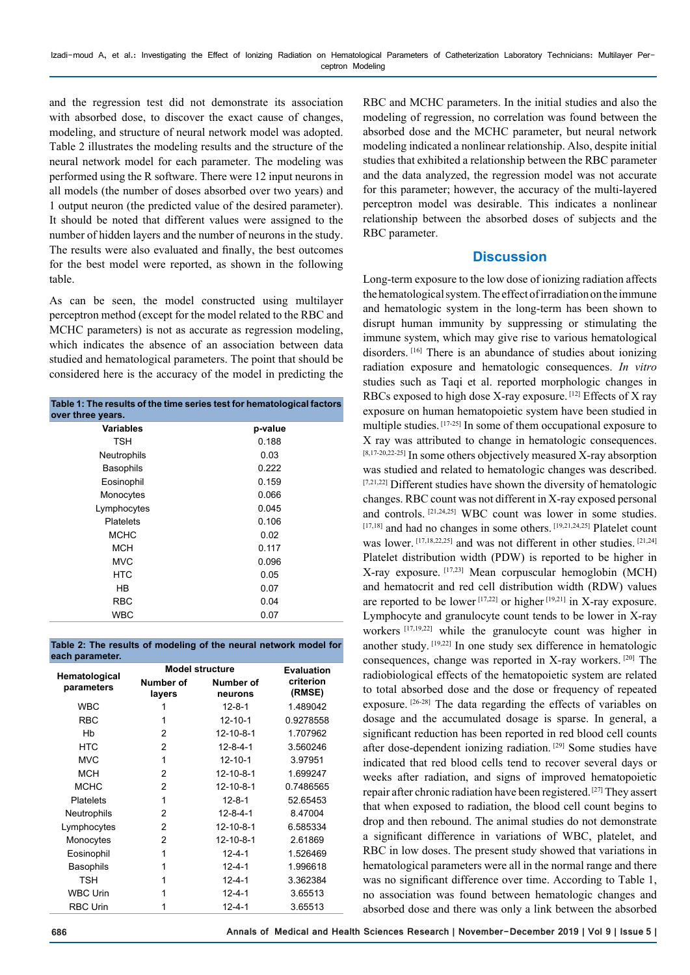and the regression test did not demonstrate its association with absorbed dose, to discover the exact cause of changes, modeling, and structure of neural network model was adopted. Table 2 illustrates the modeling results and the structure of the neural network model for each parameter. The modeling was performed using the R software. There were 12 input neurons in all models (the number of doses absorbed over two years) and 1 output neuron (the predicted value of the desired parameter). It should be noted that different values were assigned to the number of hidden layers and the number of neurons in the study. The results were also evaluated and finally, the best outcomes for the best model were reported, as shown in the following table.

As can be seen, the model constructed using multilayer perceptron method (except for the model related to the RBC and MCHC parameters) is not as accurate as regression modeling, which indicates the absence of an association between data studied and hematological parameters. The point that should be considered here is the accuracy of the model in predicting the

| Table 1: The results of the time series test for hematological factors<br>over three years. |         |  |  |
|---------------------------------------------------------------------------------------------|---------|--|--|
| <b>Variables</b>                                                                            | p-value |  |  |
| TSH                                                                                         | 0.188   |  |  |
| Neutrophils                                                                                 | 0.03    |  |  |
| <b>Basophils</b>                                                                            | 0.222   |  |  |
| Eosinophil                                                                                  | 0.159   |  |  |
| Monocytes                                                                                   | 0.066   |  |  |
| Lymphocytes                                                                                 | 0.045   |  |  |
| Platelets                                                                                   | 0.106   |  |  |
| <b>MCHC</b>                                                                                 | 0.02    |  |  |
| <b>MCH</b>                                                                                  | 0.117   |  |  |
| <b>MVC</b>                                                                                  | 0.096   |  |  |
| HTC                                                                                         | 0.05    |  |  |
| HB                                                                                          | 0.07    |  |  |
| RBC                                                                                         | 0.04    |  |  |
| WBC                                                                                         | 0.07    |  |  |

| Table 2: The results of modeling of the neural network model for |  |  |
|------------------------------------------------------------------|--|--|
| each parameter.                                                  |  |  |

|                             | <b>Model structure</b> | <b>Evaluation</b>    |                     |
|-----------------------------|------------------------|----------------------|---------------------|
| Hematological<br>parameters | Number of<br>layers    | Number of<br>neurons | criterion<br>(RMSE) |
| <b>WBC</b>                  |                        | $12 - 8 - 1$         | 1.489042            |
| <b>RBC</b>                  | 1                      | $12 - 10 - 1$        | 0.9278558           |
| Hb                          | 2                      | $12 - 10 - 8 - 1$    | 1.707962            |
| <b>HTC</b>                  | 2                      | $12 - 8 - 4 - 1$     | 3.560246            |
| <b>MVC</b>                  | 1                      | $12 - 10 - 1$        | 3.97951             |
| MCH                         | 2                      | $12 - 10 - 8 - 1$    | 1.699247            |
| <b>MCHC</b>                 | 2                      | $12 - 10 - 8 - 1$    | 0.7486565           |
| <b>Platelets</b>            | 1                      | $12 - 8 - 1$         | 52.65453            |
| Neutrophils                 | 2                      | $12 - 8 - 4 - 1$     | 8.47004             |
| Lymphocytes                 | 2                      | $12 - 10 - 8 - 1$    | 6.585334            |
| Monocytes                   | 2                      | 12-10-8-1            | 2.61869             |
| Eosinophil                  | 1                      | $12 - 4 - 1$         | 1.526469            |
| Basophils                   | 1                      | $12 - 4 - 1$         | 1.996618            |
| <b>TSH</b>                  | 1                      | $12 - 4 - 1$         | 3.362384            |
| <b>WBC Urin</b>             | 1                      | $12 - 4 - 1$         | 3.65513             |
| <b>RBC Urin</b>             |                        | $12 - 4 - 1$         | 3.65513             |

RBC and MCHC parameters. In the initial studies and also the modeling of regression, no correlation was found between the absorbed dose and the MCHC parameter, but neural network modeling indicated a nonlinear relationship. Also, despite initial studies that exhibited a relationship between the RBC parameter and the data analyzed, the regression model was not accurate for this parameter; however, the accuracy of the multi-layered perceptron model was desirable. This indicates a nonlinear relationship between the absorbed doses of subjects and the RBC parameter.

# **Discussion**

Long-term exposure to the low dose of ionizing radiation affects the hematological system. The effect of irradiation on the immune and hematologic system in the long-term has been shown to disrupt human immunity by suppressing or stimulating the immune system, which may give rise to various hematological disorders. [16] There is an abundance of studies about ionizing radiation exposure and hematologic consequences. *In vitro*  studies such as Taqi et al. reported morphologic changes in RBCs exposed to high dose X-ray exposure. [12] Effects of X ray exposure on human hematopoietic system have been studied in multiple studies. [17-25] In some of them occupational exposure to X ray was attributed to change in hematologic consequences. [8,17-20,22-25] In some others objectively measured X-ray absorption was studied and related to hematologic changes was described. [7,21,22] Different studies have shown the diversity of hematologic changes. RBC count was not different in X-ray exposed personal and controls. [21,24,25] WBC count was lower in some studies. [17,18] and had no changes in some others. [19,21,24,25] Platelet count was lower. [17,18,22,25] and was not different in other studies. [21,24] Platelet distribution width (PDW) is reported to be higher in X-ray exposure. [17,23] Mean corpuscular hemoglobin (MCH) and hematocrit and red cell distribution width (RDW) values are reported to be lower  $[17,22]$  or higher  $[19,21]$  in X-ray exposure. Lymphocyte and granulocyte count tends to be lower in X-ray workers [17,19,22] while the granulocyte count was higher in another study. [19,22] In one study sex difference in hematologic consequences, change was reported in X-ray workers. [20] The radiobiological effects of the hematopoietic system are related to total absorbed dose and the dose or frequency of repeated exposure. [26-28] The data regarding the effects of variables on dosage and the accumulated dosage is sparse. In general, a significant reduction has been reported in red blood cell counts after dose-dependent ionizing radiation. [29] Some studies have indicated that red blood cells tend to recover several days or weeks after radiation, and signs of improved hematopoietic repair after chronic radiation have been registered. [27] They assert that when exposed to radiation, the blood cell count begins to drop and then rebound. The animal studies do not demonstrate a significant difference in variations of WBC, platelet, and RBC in low doses. The present study showed that variations in hematological parameters were all in the normal range and there was no significant difference over time. According to Table 1, no association was found between hematologic changes and absorbed dose and there was only a link between the absorbed